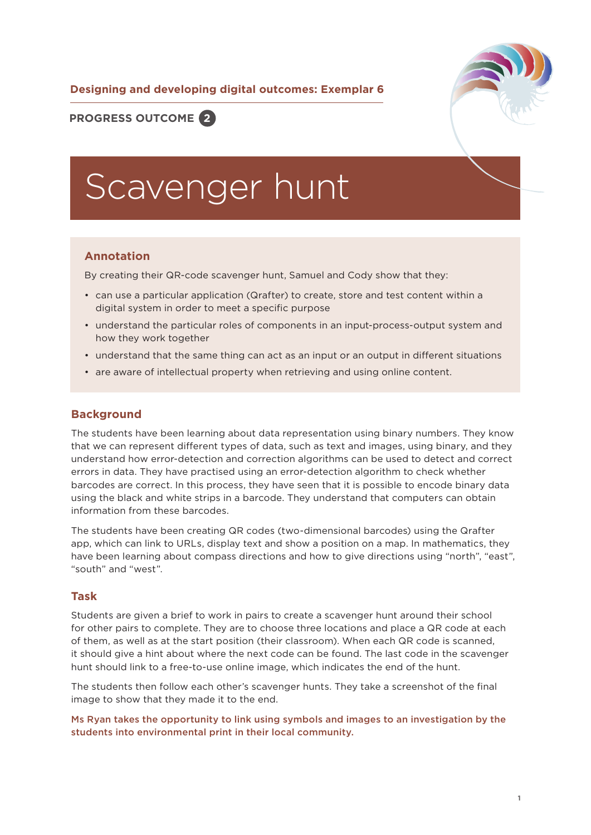### **Designing and developing digital outcomes: Exemplar 6**



# **PROGRESS OUTCOME 2**

# Scavenger hunt

#### **Annotation**

By creating their QR-code scavenger hunt, Samuel and Cody show that they:

- can use a particular application (Qrafter) to create, store and test content within a digital system in order to meet a specific purpose
- understand the particular roles of components in an input-process-output system and how they work together
- understand that the same thing can act as an input or an output in different situations
- are aware of intellectual property when retrieving and using online content.

#### **Background**

The students have been learning about data representation using binary numbers. They know that we can represent different types of data, such as text and images, using binary, and they understand how error-detection and correction algorithms can be used to detect and correct errors in data. They have practised using an error-detection algorithm to check whether barcodes are correct. In this process, they have seen that it is possible to encode binary data using the black and white strips in a barcode. They understand that computers can obtain information from these barcodes.

The students have been creating QR codes (two-dimensional barcodes) using the Qrafter app, which can link to URLs, display text and show a position on a map. In mathematics, they have been learning about compass directions and how to give directions using "north", "east", "south" and "west".

#### **Task**

Students are given a brief to work in pairs to create a scavenger hunt around their school for other pairs to complete. They are to choose three locations and place a QR code at each of them, as well as at the start position (their classroom). When each QR code is scanned, it should give a hint about where the next code can be found. The last code in the scavenger hunt should link to a free-to-use online image, which indicates the end of the hunt.

The students then follow each other's scavenger hunts. They take a screenshot of the final image to show that they made it to the end.

Ms Ryan takes the opportunity to link using symbols and images to an investigation by the students into environmental print in their local community.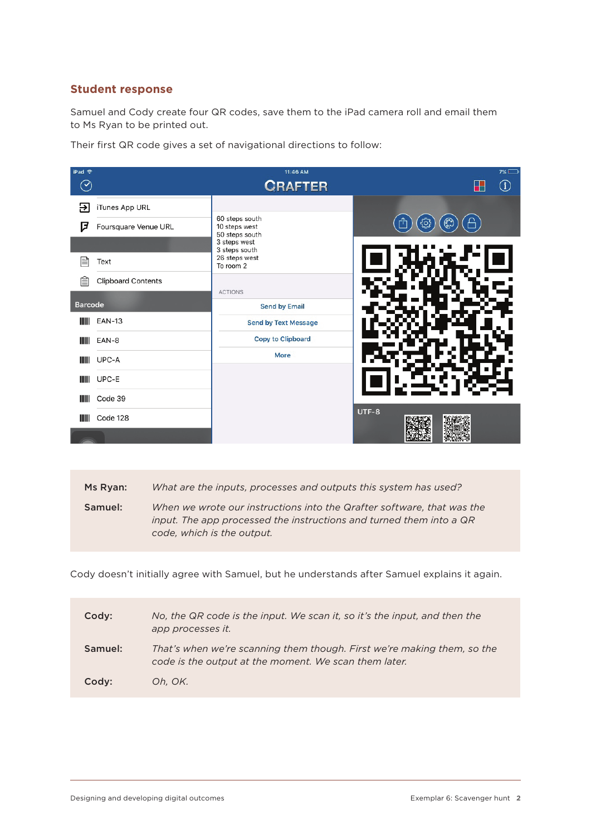## **Student response**

Samuel and Cody create four QR codes, save them to the iPad camera roll and email them to Ms Ryan to be printed out.

Their first QR code gives a set of navigational directions to follow:

| iPad 令             |                           | 11:46 AM                                          | $7\%$                 |
|--------------------|---------------------------|---------------------------------------------------|-----------------------|
| $\rightsquigarrow$ |                           | <b>CRAFTER</b>                                    | $\bigcirc$            |
| Э                  | iTunes App URL            |                                                   |                       |
| ヮ                  | Foursquare Venue URL      | 60 steps south<br>10 steps west<br>50 steps south | Α<br>$\odot$<br>ිද්ධි |
|                    |                           | 3 steps west<br>3 steps south                     |                       |
| E                  | Text                      | 26 steps west<br>To room 2                        |                       |
| Ê                  | <b>Clipboard Contents</b> |                                                   |                       |
| <b>Barcode</b>     |                           | <b>ACTIONS</b><br><b>Send by Email</b>            |                       |
| IIII               | <b>EAN-13</b>             | <b>Send by Text Message</b>                       |                       |
| IIII               | EAN-8                     | <b>Copy to Clipboard</b>                          |                       |
| IIII               | UPC-A                     | <b>More</b>                                       |                       |
| H                  | UPC-E                     |                                                   |                       |
| IIII               | Code 39                   |                                                   |                       |
| Ш                  | Code 128                  |                                                   | UTF-8                 |
|                    |                           |                                                   |                       |

| What are the inputs, processes and outputs this system has used?<br>Ms Ryan: |  |
|------------------------------------------------------------------------------|--|
|------------------------------------------------------------------------------|--|

Samuel: *When we wrote our instructions into the Qrafter software, that was the input. The app processed the instructions and turned them into a QR code, which is the output.*

Cody doesn't initially agree with Samuel, but he understands after Samuel explains it again.

| Cody:   | No, the QR code is the input. We scan it, so it's the input, and then the<br>app processes it.                                   |
|---------|----------------------------------------------------------------------------------------------------------------------------------|
| Samuel: | That's when we're scanning them though. First we're making them, so the<br>code is the output at the moment. We scan them later. |
| Codv:   | Oh, OK,                                                                                                                          |